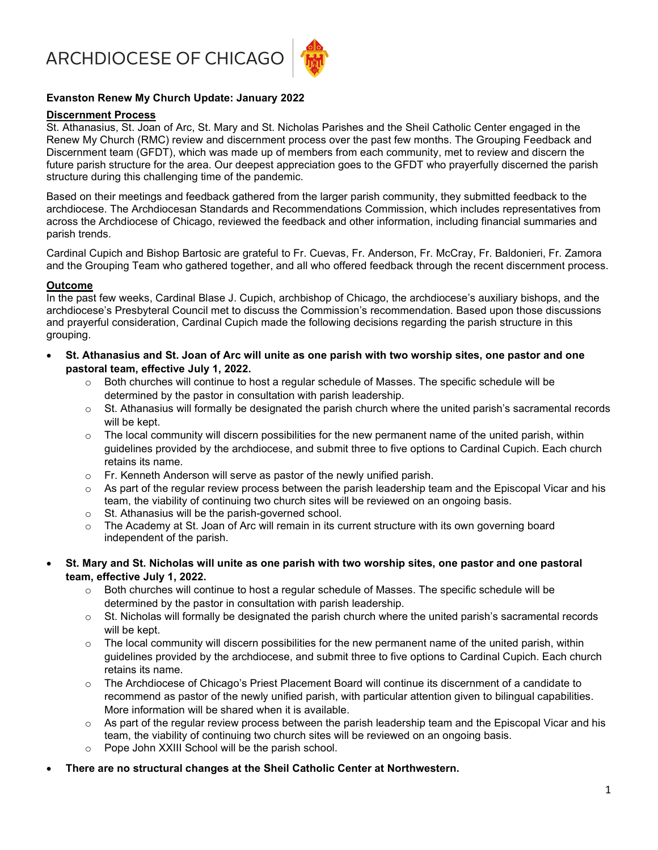ARCHDIOCESE OF CHICAGO



## Evanston Renew My Church Update: January 2022

#### Discernment Process

St. Athanasius, St. Joan of Arc, St. Mary and St. Nicholas Parishes and the Sheil Catholic Center engaged in the Renew My Church (RMC) review and discernment process over the past few months. The Grouping Feedback and Discernment team (GFDT), which was made up of members from each community, met to review and discern the future parish structure for the area. Our deepest appreciation goes to the GFDT who prayerfully discerned the parish structure during this challenging time of the pandemic.

Based on their meetings and feedback gathered from the larger parish community, they submitted feedback to the archdiocese. The Archdiocesan Standards and Recommendations Commission, which includes representatives from across the Archdiocese of Chicago, reviewed the feedback and other information, including financial summaries and parish trends.

Cardinal Cupich and Bishop Bartosic are grateful to Fr. Cuevas, Fr. Anderson, Fr. McCray, Fr. Baldonieri, Fr. Zamora and the Grouping Team who gathered together, and all who offered feedback through the recent discernment process.

#### Outcome

In the past few weeks, Cardinal Blase J. Cupich, archbishop of Chicago, the archdiocese's auxiliary bishops, and the archdiocese's Presbyteral Council met to discuss the Commission's recommendation. Based upon those discussions and prayerful consideration, Cardinal Cupich made the following decisions regarding the parish structure in this grouping.

- St. Athanasius and St. Joan of Arc will unite as one parish with two worship sites, one pastor and one pastoral team, effective July 1, 2022.
	- $\circ$  Both churches will continue to host a regular schedule of Masses. The specific schedule will be determined by the pastor in consultation with parish leadership.
	- $\circ$  St. Athanasius will formally be designated the parish church where the united parish's sacramental records will be kept.
	- $\circ$  The local community will discern possibilities for the new permanent name of the united parish, within guidelines provided by the archdiocese, and submit three to five options to Cardinal Cupich. Each church retains its name.
	- $\circ$  Fr. Kenneth Anderson will serve as pastor of the newly unified parish.
	- $\circ$  As part of the regular review process between the parish leadership team and the Episcopal Vicar and his team, the viability of continuing two church sites will be reviewed on an ongoing basis.
	- o St. Athanasius will be the parish-governed school.
	- o The Academy at St. Joan of Arc will remain in its current structure with its own governing board independent of the parish.

#### St. Mary and St. Nicholas will unite as one parish with two worship sites, one pastor and one pastoral team, effective July 1, 2022.

- $\circ$  Both churches will continue to host a regular schedule of Masses. The specific schedule will be determined by the pastor in consultation with parish leadership.
- $\circ$  St. Nicholas will formally be designated the parish church where the united parish's sacramental records will be kept.
- $\circ$  The local community will discern possibilities for the new permanent name of the united parish, within guidelines provided by the archdiocese, and submit three to five options to Cardinal Cupich. Each church retains its name.
- o The Archdiocese of Chicago's Priest Placement Board will continue its discernment of a candidate to recommend as pastor of the newly unified parish, with particular attention given to bilingual capabilities. More information will be shared when it is available.
- $\circ$  As part of the regular review process between the parish leadership team and the Episcopal Vicar and his team, the viability of continuing two church sites will be reviewed on an ongoing basis.
- o Pope John XXIII School will be the parish school.

# There are no structural changes at the Sheil Catholic Center at Northwestern.